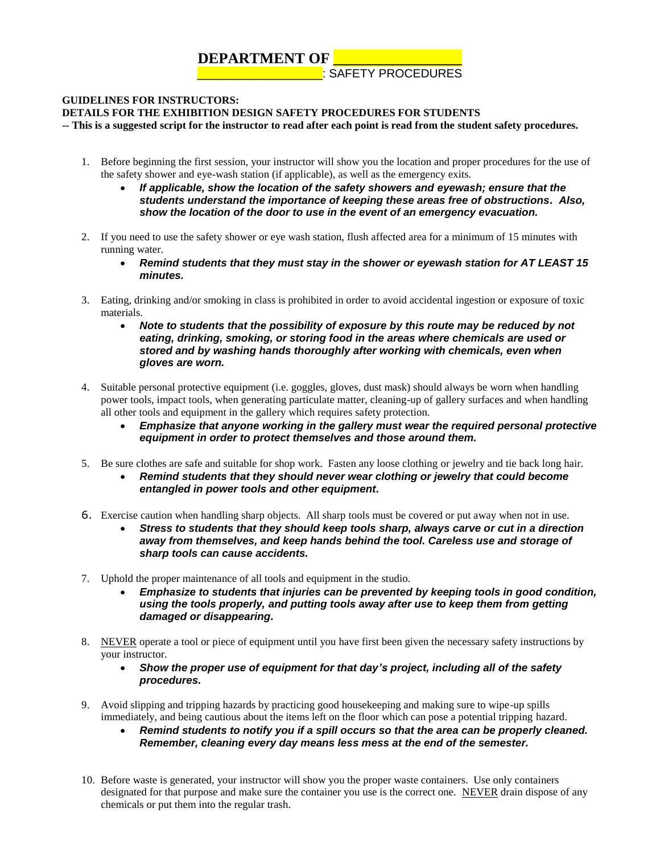## **DEPARTMENT OF \_\_\_\_\_\_\_\_\_\_\_\_**

**LEARCH REPORT PROCEDURES** 

## **GUIDELINES FOR INSTRUCTORS:**

## **DETAILS FOR THE EXHIBITION DESIGN SAFETY PROCEDURES FOR STUDENTS**

**-- This is a suggested script for the instructor to read after each point is read from the student safety procedures.**

- 1. Before beginning the first session, your instructor will show you the location and proper procedures for the use of the safety shower and eye-wash station (if applicable), as well as the emergency exits.
	- *If applicable, show the location of the safety showers and eyewash; ensure that the students understand the importance of keeping these areas free of obstructions. Also, show the location of the door to use in the event of an emergency evacuation.*
- 2. If you need to use the safety shower or eye wash station, flush affected area for a minimum of 15 minutes with running water.
	- *Remind students that they must stay in the shower or eyewash station for AT LEAST 15 minutes.*
- 3. Eating, drinking and/or smoking in class is prohibited in order to avoid accidental ingestion or exposure of toxic materials.
	- *Note to students that the possibility of exposure by this route may be reduced by not eating, drinking, smoking, or storing food in the areas where chemicals are used or stored and by washing hands thoroughly after working with chemicals, even when gloves are worn.*
- 4. Suitable personal protective equipment (i.e. goggles, gloves, dust mask) should always be worn when handling power tools, impact tools, when generating particulate matter, cleaning-up of gallery surfaces and when handling all other tools and equipment in the gallery which requires safety protection.
	- *Emphasize that anyone working in the gallery must wear the required personal protective equipment in order to protect themselves and those around them.*
- 5. Be sure clothes are safe and suitable for shop work. Fasten any loose clothing or jewelry and tie back long hair.
	- *Remind students that they should never wear clothing or jewelry that could become entangled in power tools and other equipment.*
- 6. Exercise caution when handling sharp objects. All sharp tools must be covered or put away when not in use.
	- *Stress to students that they should keep tools sharp, always carve or cut in a direction away from themselves, and keep hands behind the tool. Careless use and storage of sharp tools can cause accidents.*
- 7. Uphold the proper maintenance of all tools and equipment in the studio.
	- *Emphasize to students that injuries can be prevented by keeping tools in good condition, using the tools properly, and putting tools away after use to keep them from getting damaged or disappearing.*
- 8. NEVER operate a tool or piece of equipment until you have first been given the necessary safety instructions by your instructor.
	- *Show the proper use of equipment for that day's project, including all of the safety procedures.*
- 9. Avoid slipping and tripping hazards by practicing good housekeeping and making sure to wipe-up spills immediately, and being cautious about the items left on the floor which can pose a potential tripping hazard.
	- *Remind students to notify you if a spill occurs so that the area can be properly cleaned. Remember, cleaning every day means less mess at the end of the semester.*
- 10. Before waste is generated, your instructor will show you the proper waste containers. Use only containers designated for that purpose and make sure the container you use is the correct one. NEVER drain dispose of any chemicals or put them into the regular trash.